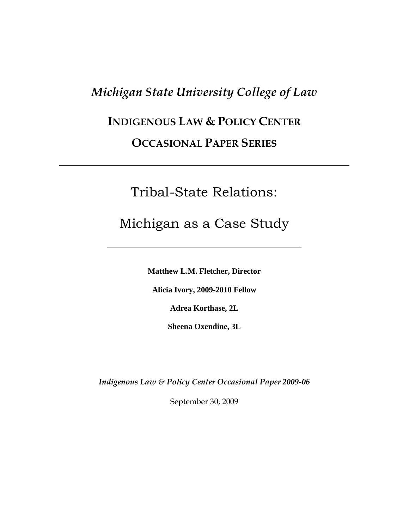## *Michigan State University College of Law*

# **INDIGENOUS LAW & POLICY CENTER**

### **OCCASIONAL PAPER SERIES**

## Tribal-State Relations:

## Michigan as a Case Study

**Matthew L.M. Fletcher, Director**

**Alicia Ivory, 2009-2010 Fellow**

**Adrea Korthase, 2L**

**Sheena Oxendine, 3L**

*Indigenous Law & Policy Center Occasional Paper 2009-06*

September 30, 2009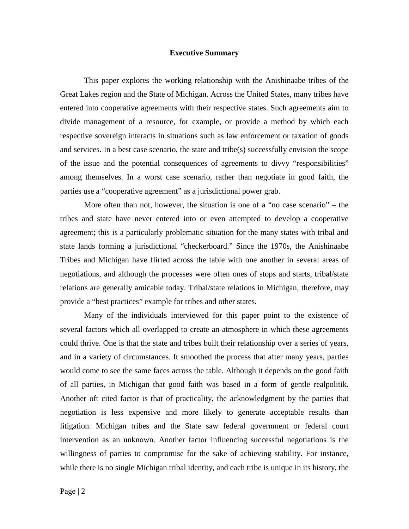#### **Executive Summary**

This paper explores the working relationship with the Anishinaabe tribes of the Great Lakes region and the State of Michigan. Across the United States, many tribes have entered into cooperative agreements with their respective states. Such agreements aim to divide management of a resource, for example, or provide a method by which each respective sovereign interacts in situations such as law enforcement or taxation of goods and services. In a best case scenario, the state and tribe(s) successfully envision the scope of the issue and the potential consequences of agreements to divvy "responsibilities" among themselves. In a worst case scenario, rather than negotiate in good faith, the parties use a "cooperative agreement" as a jurisdictional power grab.

More often than not, however, the situation is one of a "no case scenario" – the tribes and state have never entered into or even attempted to develop a cooperative agreement; this is a particularly problematic situation for the many states with tribal and state lands forming a jurisdictional "checkerboard." Since the 1970s, the Anishinaabe Tribes and Michigan have flirted across the table with one another in several areas of negotiations, and although the processes were often ones of stops and starts, tribal/state relations are generally amicable today. Tribal/state relations in Michigan, therefore, may provide a "best practices" example for tribes and other states.

Many of the individuals interviewed for this paper point to the existence of several factors which all overlapped to create an atmosphere in which these agreements could thrive. One is that the state and tribes built their relationship over a series of years, and in a variety of circumstances. It smoothed the process that after many years, parties would come to see the same faces across the table. Although it depends on the good faith of all parties, in Michigan that good faith was based in a form of gentle realpolitik. Another oft cited factor is that of practicality, the acknowledgment by the parties that negotiation is less expensive and more likely to generate acceptable results than litigation. Michigan tribes and the State saw federal government or federal court intervention as an unknown. Another factor influencing successful negotiations is the willingness of parties to compromise for the sake of achieving stability. For instance, while there is no single Michigan tribal identity, and each tribe is unique in its history, the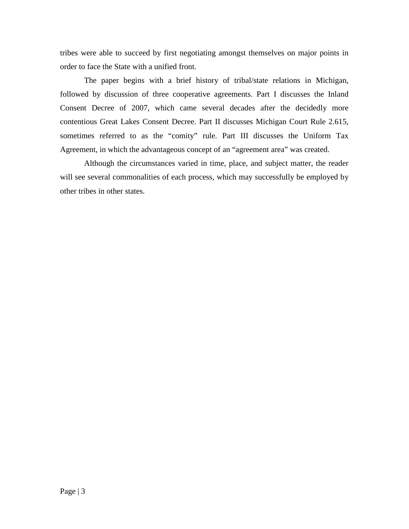tribes were able to succeed by first negotiating amongst themselves on major points in order to face the State with a unified front.

The paper begins with a brief history of tribal/state relations in Michigan, followed by discussion of three cooperative agreements. Part I discusses the Inland Consent Decree of 2007, which came several decades after the decidedly more contentious Great Lakes Consent Decree. Part II discusses Michigan Court Rule 2.615, sometimes referred to as the "comity" rule. Part III discusses the Uniform Tax Agreement, in which the advantageous concept of an "agreement area" was created.

Although the circumstances varied in time, place, and subject matter, the reader will see several commonalities of each process, which may successfully be employed by other tribes in other states.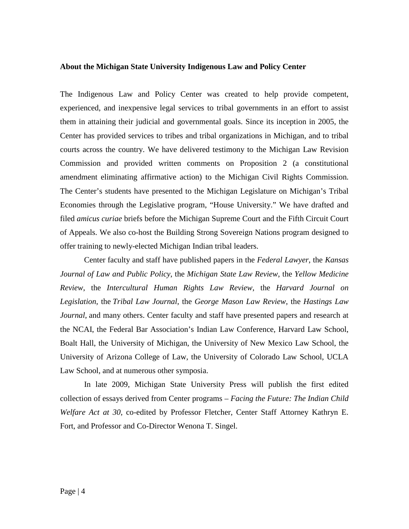#### **About the Michigan State University Indigenous Law and Policy Center**

The Indigenous Law and Policy Center was created to help provide competent, experienced, and inexpensive legal services to tribal governments in an effort to assist them in attaining their judicial and governmental goals. Since its inception in 2005, the Center has provided services to tribes and tribal organizations in Michigan, and to tribal courts across the country. We have delivered testimony to the Michigan Law Revision Commission and provided written comments on Proposition 2 (a constitutional amendment eliminating affirmative action) to the Michigan Civil Rights Commission. The Center's students have presented to the Michigan Legislature on Michigan's Tribal Economies through the Legislative program, "House University." We have drafted and filed *amicus curiae* briefs before the Michigan Supreme Court and the Fifth Circuit Court of Appeals. We also co-host the Building Strong Sovereign Nations program designed to offer training to newly-elected Michigan Indian tribal leaders.

Center faculty and staff have published papers in the *Federal Lawyer*, the *Kansas Journal of Law and Public Policy*, the *Michigan State Law Review*, the *Yellow Medicine Review*, the *Intercultural Human Rights Law Review*, the *Harvard Journal on Legislation*, the *Tribal Law Journal*, the *George Mason Law Review*, the *Hastings Law Journal*, and many others. Center faculty and staff have presented papers and research at the NCAI, the Federal Bar Association's Indian Law Conference, Harvard Law School, Boalt Hall, the University of Michigan, the University of New Mexico Law School, the University of Arizona College of Law, the University of Colorado Law School, UCLA Law School, and at numerous other symposia.

In late 2009, Michigan State University Press will publish the first edited collection of essays derived from Center programs – *Facing the Future: The Indian Child Welfare Act at 30*, co-edited by Professor Fletcher, Center Staff Attorney Kathryn E. Fort, and Professor and Co-Director Wenona T. Singel.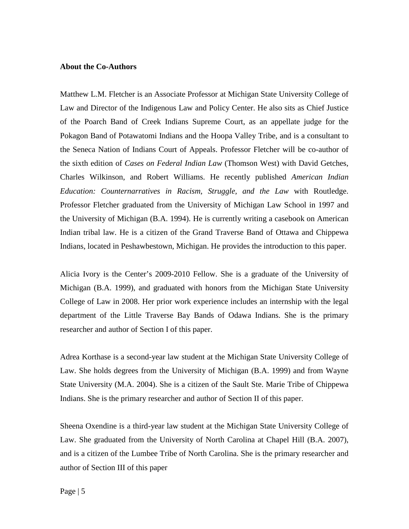#### **About the Co-Authors**

Matthew L.M. Fletcher is an Associate Professor at Michigan State University College of Law and Director of the Indigenous Law and Policy Center. He also sits as Chief Justice of the Poarch Band of Creek Indians Supreme Court, as an appellate judge for the Pokagon Band of Potawatomi Indians and the Hoopa Valley Tribe, and is a consultant to the Seneca Nation of Indians Court of Appeals. Professor Fletcher will be co-author of the sixth edition of *Cases on Federal Indian Law* (Thomson West) with David Getches, Charles Wilkinson, and Robert Williams. He recently published *American Indian Education: Counternarratives in Racism, Struggle, and the Law* with Routledge. Professor Fletcher graduated from the University of Michigan Law School in 1997 and the University of Michigan (B.A. 1994). He is currently writing a casebook on American Indian tribal law. He is a citizen of the Grand Traverse Band of Ottawa and Chippewa Indians, located in Peshawbestown, Michigan. He provides the introduction to this paper.

Alicia Ivory is the Center's 2009-2010 Fellow. She is a graduate of the University of Michigan (B.A. 1999), and graduated with honors from the Michigan State University College of Law in 2008. Her prior work experience includes an internship with the legal department of the Little Traverse Bay Bands of Odawa Indians. She is the primary researcher and author of Section I of this paper.

Adrea Korthase is a second-year law student at the Michigan State University College of Law. She holds degrees from the University of Michigan (B.A. 1999) and from Wayne State University (M.A. 2004). She is a citizen of the Sault Ste. Marie Tribe of Chippewa Indians. She is the primary researcher and author of Section II of this paper.

Sheena Oxendine is a third-year law student at the Michigan State University College of Law. She graduated from the University of North Carolina at Chapel Hill (B.A. 2007), and is a citizen of the Lumbee Tribe of North Carolina. She is the primary researcher and author of Section III of this paper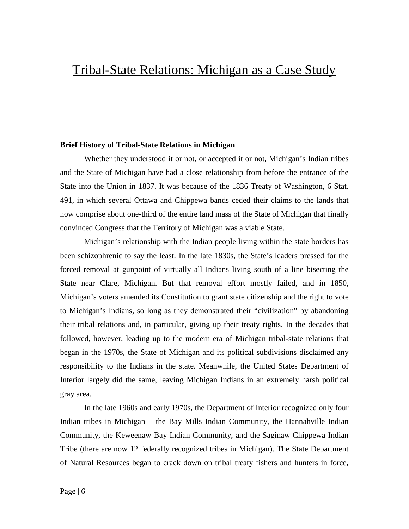## Tribal-State Relations: Michigan as a Case Study

#### **Brief History of Tribal-State Relations in Michigan**

Whether they understood it or not, or accepted it or not, Michigan's Indian tribes and the State of Michigan have had a close relationship from before the entrance of the State into the Union in 1837. It was because of the 1836 Treaty of Washington, 6 Stat. 491, in which several Ottawa and Chippewa bands ceded their claims to the lands that now comprise about one-third of the entire land mass of the State of Michigan that finally convinced Congress that the Territory of Michigan was a viable State.

Michigan's relationship with the Indian people living within the state borders has been schizophrenic to say the least. In the late 1830s, the State's leaders pressed for the forced removal at gunpoint of virtually all Indians living south of a line bisecting the State near Clare, Michigan. But that removal effort mostly failed, and in 1850, Michigan's voters amended its Constitution to grant state citizenship and the right to vote to Michigan's Indians, so long as they demonstrated their "civilization" by abandoning their tribal relations and, in particular, giving up their treaty rights. In the decades that followed, however, leading up to the modern era of Michigan tribal-state relations that began in the 1970s, the State of Michigan and its political subdivisions disclaimed any responsibility to the Indians in the state. Meanwhile, the United States Department of Interior largely did the same, leaving Michigan Indians in an extremely harsh political gray area.

In the late 1960s and early 1970s, the Department of Interior recognized only four Indian tribes in Michigan – the Bay Mills Indian Community, the Hannahville Indian Community, the Keweenaw Bay Indian Community, and the Saginaw Chippewa Indian Tribe (there are now 12 federally recognized tribes in Michigan). The State Department of Natural Resources began to crack down on tribal treaty fishers and hunters in force,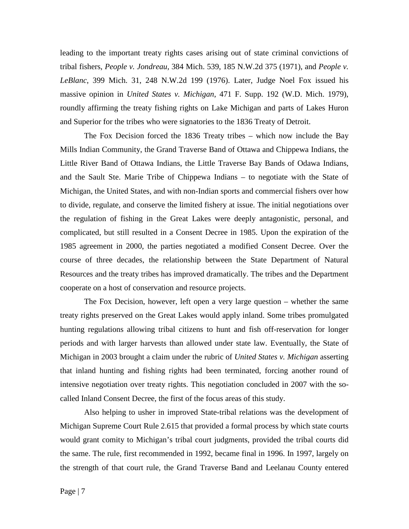leading to the important treaty rights cases arising out of state criminal convictions of tribal fishers, *People v. Jondreau*, 384 Mich. 539, 185 N.W.2d 375 (1971), and *People v. LeBlanc*, 399 Mich. 31, 248 N.W.2d 199 (1976). Later, Judge Noel Fox issued his massive opinion in *United States v. Michigan*, 471 F. Supp. 192 (W.D. Mich. 1979), roundly affirming the treaty fishing rights on Lake Michigan and parts of Lakes Huron and Superior for the tribes who were signatories to the 1836 Treaty of Detroit.

The Fox Decision forced the 1836 Treaty tribes – which now include the Bay Mills Indian Community, the Grand Traverse Band of Ottawa and Chippewa Indians, the Little River Band of Ottawa Indians, the Little Traverse Bay Bands of Odawa Indians, and the Sault Ste. Marie Tribe of Chippewa Indians – to negotiate with the State of Michigan, the United States, and with non-Indian sports and commercial fishers over how to divide, regulate, and conserve the limited fishery at issue. The initial negotiations over the regulation of fishing in the Great Lakes were deeply antagonistic, personal, and complicated, but still resulted in a Consent Decree in 1985. Upon the expiration of the 1985 agreement in 2000, the parties negotiated a modified Consent Decree. Over the course of three decades, the relationship between the State Department of Natural Resources and the treaty tribes has improved dramatically. The tribes and the Department cooperate on a host of conservation and resource projects.

The Fox Decision, however, left open a very large question – whether the same treaty rights preserved on the Great Lakes would apply inland. Some tribes promulgated hunting regulations allowing tribal citizens to hunt and fish off-reservation for longer periods and with larger harvests than allowed under state law. Eventually, the State of Michigan in 2003 brought a claim under the rubric of *United States v. Michigan* asserting that inland hunting and fishing rights had been terminated, forcing another round of intensive negotiation over treaty rights. This negotiation concluded in 2007 with the socalled Inland Consent Decree, the first of the focus areas of this study.

Also helping to usher in improved State-tribal relations was the development of Michigan Supreme Court Rule 2.615 that provided a formal process by which state courts would grant comity to Michigan's tribal court judgments, provided the tribal courts did the same. The rule, first recommended in 1992, became final in 1996. In 1997, largely on the strength of that court rule, the Grand Traverse Band and Leelanau County entered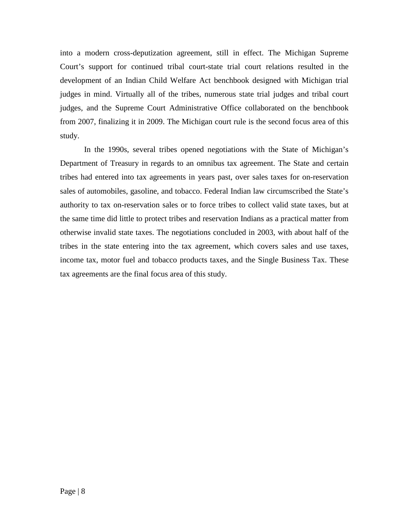into a modern cross-deputization agreement, still in effect. The Michigan Supreme Court's support for continued tribal court-state trial court relations resulted in the development of an Indian Child Welfare Act benchbook designed with Michigan trial judges in mind. Virtually all of the tribes, numerous state trial judges and tribal court judges, and the Supreme Court Administrative Office collaborated on the benchbook from 2007, finalizing it in 2009. The Michigan court rule is the second focus area of this study.

In the 1990s, several tribes opened negotiations with the State of Michigan's Department of Treasury in regards to an omnibus tax agreement. The State and certain tribes had entered into tax agreements in years past, over sales taxes for on-reservation sales of automobiles, gasoline, and tobacco. Federal Indian law circumscribed the State's authority to tax on-reservation sales or to force tribes to collect valid state taxes, but at the same time did little to protect tribes and reservation Indians as a practical matter from otherwise invalid state taxes. The negotiations concluded in 2003, with about half of the tribes in the state entering into the tax agreement, which covers sales and use taxes, income tax, motor fuel and tobacco products taxes, and the Single Business Tax. These tax agreements are the final focus area of this study.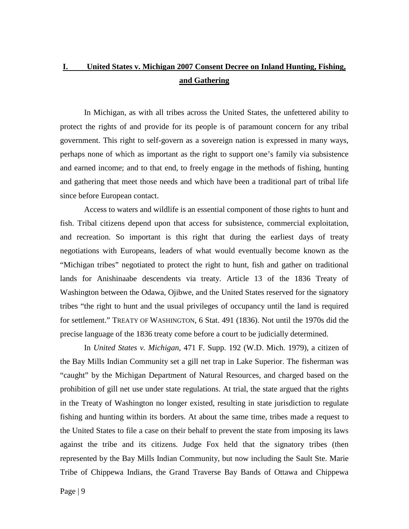### **I. United States v. Michigan 2007 Consent Decree on Inland Hunting, Fishing, and Gathering**

In Michigan, as with all tribes across the United States, the unfettered ability to protect the rights of and provide for its people is of paramount concern for any tribal government. This right to self-govern as a sovereign nation is expressed in many ways, perhaps none of which as important as the right to support one's family via subsistence and earned income; and to that end, to freely engage in the methods of fishing, hunting and gathering that meet those needs and which have been a traditional part of tribal life since before European contact.

Access to waters and wildlife is an essential component of those rights to hunt and fish. Tribal citizens depend upon that access for subsistence, commercial exploitation, and recreation. So important is this right that during the earliest days of treaty negotiations with Europeans, leaders of what would eventually become known as the "Michigan tribes" negotiated to protect the right to hunt, fish and gather on traditional lands for Anishinaabe descendents via treaty. Article 13 of the 1836 Treaty of Washington between the Odawa, Ojibwe, and the United States reserved for the signatory tribes "the right to hunt and the usual privileges of occupancy until the land is required for settlement." TREATY OF WASHINGTON, 6 Stat. 491 (1836). Not until the 1970s did the precise language of the 1836 treaty come before a court to be judicially determined.

In *United States v. Michigan*, 471 F. Supp. 192 (W.D. Mich. 1979), a citizen of the Bay Mills Indian Community set a gill net trap in Lake Superior. The fisherman was "caught" by the Michigan Department of Natural Resources, and charged based on the prohibition of gill net use under state regulations. At trial, the state argued that the rights in the Treaty of Washington no longer existed, resulting in state jurisdiction to regulate fishing and hunting within its borders. At about the same time, tribes made a request to the United States to file a case on their behalf to prevent the state from imposing its laws against the tribe and its citizens. Judge Fox held that the signatory tribes (then represented by the Bay Mills Indian Community, but now including the Sault Ste. Marie Tribe of Chippewa Indians, the Grand Traverse Bay Bands of Ottawa and Chippewa

Page | 9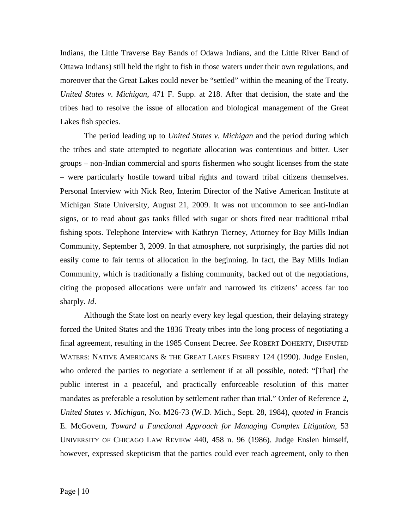Indians, the Little Traverse Bay Bands of Odawa Indians, and the Little River Band of Ottawa Indians) still held the right to fish in those waters under their own regulations, and moreover that the Great Lakes could never be "settled" within the meaning of the Treaty. *United States v. Michigan*, 471 F. Supp. at 218. After that decision, the state and the tribes had to resolve the issue of allocation and biological management of the Great Lakes fish species.

The period leading up to *United States v. Michigan* and the period during which the tribes and state attempted to negotiate allocation was contentious and bitter. User groups – non-Indian commercial and sports fishermen who sought licenses from the state – were particularly hostile toward tribal rights and toward tribal citizens themselves. Personal Interview with Nick Reo, Interim Director of the Native American Institute at Michigan State University, August 21, 2009. It was not uncommon to see anti-Indian signs, or to read about gas tanks filled with sugar or shots fired near traditional tribal fishing spots. Telephone Interview with Kathryn Tierney, Attorney for Bay Mills Indian Community, September 3, 2009. In that atmosphere, not surprisingly, the parties did not easily come to fair terms of allocation in the beginning. In fact, the Bay Mills Indian Community, which is traditionally a fishing community, backed out of the negotiations, citing the proposed allocations were unfair and narrowed its citizens' access far too sharply. *Id*.

Although the State lost on nearly every key legal question, their delaying strategy forced the United States and the 1836 Treaty tribes into the long process of negotiating a final agreement, resulting in the 1985 Consent Decree. *See* ROBERT DOHERTY, DISPUTED WATERS: NATIVE AMERICANS & THE GREAT LAKES FISHERY 124 (1990). Judge Enslen, who ordered the parties to negotiate a settlement if at all possible, noted: "[That] the public interest in a peaceful, and practically enforceable resolution of this matter mandates as preferable a resolution by settlement rather than trial." Order of Reference 2, *United States v. Michigan*, No. M26-73 (W.D. Mich., Sept. 28, 1984), *quoted in* Francis E. McGovern, *Toward a Functional Approach for Managing Complex Litigation*, 53 UNIVERSITY OF CHICAGO LAW REVIEW 440, 458 n. 96 (1986). Judge Enslen himself, however, expressed skepticism that the parties could ever reach agreement, only to then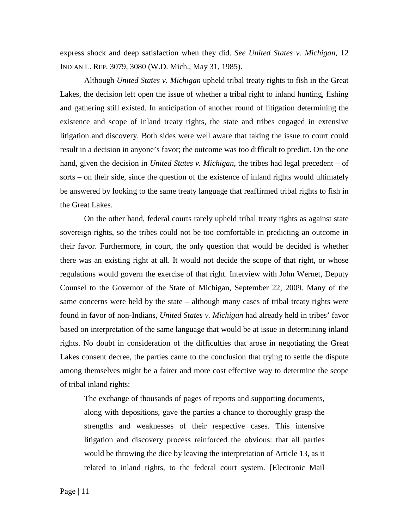express shock and deep satisfaction when they did. *See United States v. Michigan*, 12 INDIAN L. REP. 3079, 3080 (W.D. Mich., May 31, 1985).

Although *United States v. Michigan* upheld tribal treaty rights to fish in the Great Lakes, the decision left open the issue of whether a tribal right to inland hunting, fishing and gathering still existed. In anticipation of another round of litigation determining the existence and scope of inland treaty rights, the state and tribes engaged in extensive litigation and discovery. Both sides were well aware that taking the issue to court could result in a decision in anyone's favor; the outcome was too difficult to predict. On the one hand, given the decision in *United States v. Michigan*, the tribes had legal precedent – of sorts – on their side, since the question of the existence of inland rights would ultimately be answered by looking to the same treaty language that reaffirmed tribal rights to fish in the Great Lakes.

On the other hand, federal courts rarely upheld tribal treaty rights as against state sovereign rights, so the tribes could not be too comfortable in predicting an outcome in their favor. Furthermore, in court, the only question that would be decided is whether there was an existing right at all. It would not decide the scope of that right, or whose regulations would govern the exercise of that right. Interview with John Wernet, Deputy Counsel to the Governor of the State of Michigan, September 22, 2009. Many of the same concerns were held by the state – although many cases of tribal treaty rights were found in favor of non-Indians, *United States v. Michigan* had already held in tribes' favor based on interpretation of the same language that would be at issue in determining inland rights. No doubt in consideration of the difficulties that arose in negotiating the Great Lakes consent decree, the parties came to the conclusion that trying to settle the dispute among themselves might be a fairer and more cost effective way to determine the scope of tribal inland rights:

The exchange of thousands of pages of reports and supporting documents, along with depositions, gave the parties a chance to thoroughly grasp the strengths and weaknesses of their respective cases. This intensive litigation and discovery process reinforced the obvious: that all parties would be throwing the dice by leaving the interpretation of Article 13, as it related to inland rights, to the federal court system. [Electronic Mail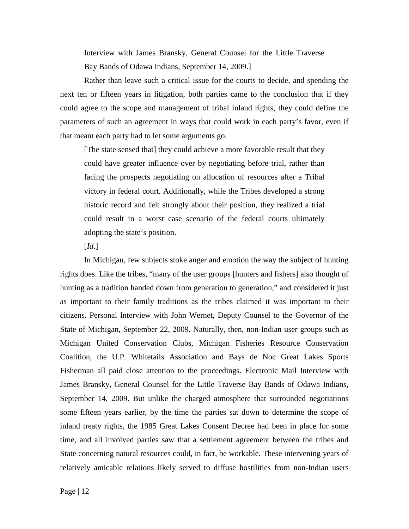Interview with James Bransky, General Counsel for the Little Traverse Bay Bands of Odawa Indians, September 14, 2009.]

Rather than leave such a critical issue for the courts to decide, and spending the next ten or fifteen years in litigation, both parties came to the conclusion that if they could agree to the scope and management of tribal inland rights, they could define the parameters of such an agreement in ways that could work in each party's favor, even if that meant each party had to let some arguments go.

[The state sensed that] they could achieve a more favorable result that they could have greater influence over by negotiating before trial, rather than facing the prospects negotiating on allocation of resources after a Tribal victory in federal court. Additionally, while the Tribes developed a strong historic record and felt strongly about their position, they realized a trial could result in a worst case scenario of the federal courts ultimately adopting the state's position.

#### [*Id*.]

In Michigan, few subjects stoke anger and emotion the way the subject of hunting rights does. Like the tribes, "many of the user groups [hunters and fishers] also thought of hunting as a tradition handed down from generation to generation," and considered it just as important to their family traditions as the tribes claimed it was important to their citizens. Personal Interview with John Wernet, Deputy Counsel to the Governor of the State of Michigan, September 22, 2009. Naturally, then, non-Indian user groups such as Michigan United Conservation Clubs, Michigan Fisheries Resource Conservation Coalition, the U.P. Whitetails Association and Bays de Noc Great Lakes Sports Fisherman all paid close attention to the proceedings. Electronic Mail Interview with James Bransky, General Counsel for the Little Traverse Bay Bands of Odawa Indians, September 14, 2009. But unlike the charged atmosphere that surrounded negotiations some fifteen years earlier, by the time the parties sat down to determine the scope of inland treaty rights, the 1985 Great Lakes Consent Decree had been in place for some time, and all involved parties saw that a settlement agreement between the tribes and State concerning natural resources could, in fact, be workable. These intervening years of relatively amicable relations likely served to diffuse hostilities from non-Indian users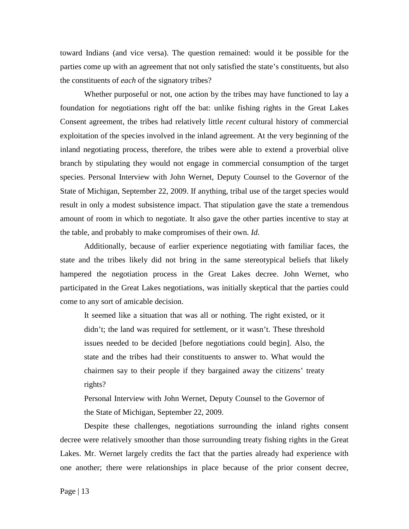toward Indians (and vice versa). The question remained: would it be possible for the parties come up with an agreement that not only satisfied the state's constituents, but also the constituents of *each* of the signatory tribes?

Whether purposeful or not, one action by the tribes may have functioned to lay a foundation for negotiations right off the bat: unlike fishing rights in the Great Lakes Consent agreement, the tribes had relatively little *recent* cultural history of commercial exploitation of the species involved in the inland agreement. At the very beginning of the inland negotiating process, therefore, the tribes were able to extend a proverbial olive branch by stipulating they would not engage in commercial consumption of the target species. Personal Interview with John Wernet, Deputy Counsel to the Governor of the State of Michigan, September 22, 2009. If anything, tribal use of the target species would result in only a modest subsistence impact. That stipulation gave the state a tremendous amount of room in which to negotiate. It also gave the other parties incentive to stay at the table, and probably to make compromises of their own. *Id*.

Additionally, because of earlier experience negotiating with familiar faces, the state and the tribes likely did not bring in the same stereotypical beliefs that likely hampered the negotiation process in the Great Lakes decree. John Wernet, who participated in the Great Lakes negotiations, was initially skeptical that the parties could come to any sort of amicable decision.

It seemed like a situation that was all or nothing. The right existed, or it didn't; the land was required for settlement, or it wasn't. These threshold issues needed to be decided [before negotiations could begin]. Also, the state and the tribes had their constituents to answer to. What would the chairmen say to their people if they bargained away the citizens' treaty rights?

Personal Interview with John Wernet, Deputy Counsel to the Governor of the State of Michigan, September 22, 2009.

Despite these challenges, negotiations surrounding the inland rights consent decree were relatively smoother than those surrounding treaty fishing rights in the Great Lakes. Mr. Wernet largely credits the fact that the parties already had experience with one another; there were relationships in place because of the prior consent decree,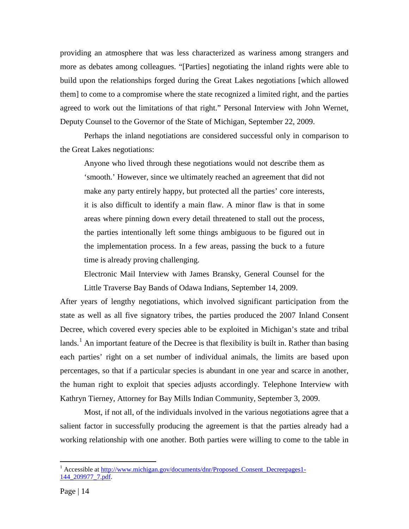providing an atmosphere that was less characterized as wariness among strangers and more as debates among colleagues. "[Parties] negotiating the inland rights were able to build upon the relationships forged during the Great Lakes negotiations [which allowed them] to come to a compromise where the state recognized a limited right, and the parties agreed to work out the limitations of that right." Personal Interview with John Wernet, Deputy Counsel to the Governor of the State of Michigan, September 22, 2009.

Perhaps the inland negotiations are considered successful only in comparison to the Great Lakes negotiations:

Anyone who lived through these negotiations would not describe them as 'smooth.' However, since we ultimately reached an agreement that did not make any party entirely happy, but protected all the parties' core interests, it is also difficult to identify a main flaw. A minor flaw is that in some areas where pinning down every detail threatened to stall out the process, the parties intentionally left some things ambiguous to be figured out in the implementation process. In a few areas, passing the buck to a future time is already proving challenging.

Electronic Mail Interview with James Bransky, General Counsel for the Little Traverse Bay Bands of Odawa Indians, September 14, 2009.

After years of lengthy negotiations, which involved significant participation from the state as well as all five signatory tribes, the parties produced the 2007 Inland Consent Decree, which covered every species able to be exploited in Michigan's state and tribal lands.<sup>[1](#page-13-0)</sup> An important feature of the Decree is that flexibility is built in. Rather than basing each parties' right on a set number of individual animals, the limits are based upon percentages, so that if a particular species is abundant in one year and scarce in another, the human right to exploit that species adjusts accordingly. Telephone Interview with Kathryn Tierney, Attorney for Bay Mills Indian Community, September 3, 2009.

Most, if not all, of the individuals involved in the various negotiations agree that a salient factor in successfully producing the agreement is that the parties already had a working relationship with one another. Both parties were willing to come to the table in

<span id="page-13-0"></span> $1$  Accessible at http://www.michigan.gov/documents/dnr/Proposed Consent Decreepages1-[144\\_209977\\_7.pdf.](http://www.michigan.gov/documents/dnr/Proposed_Consent_Decreepages1-144_209977_7.pdf)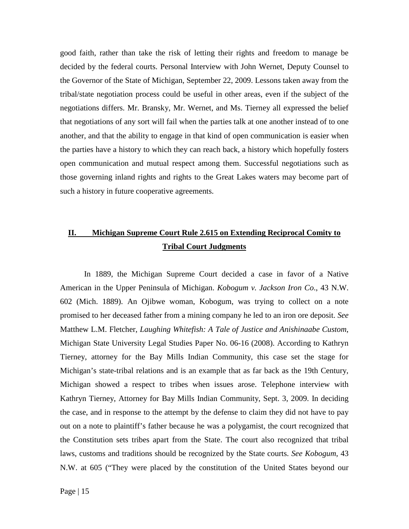good faith, rather than take the risk of letting their rights and freedom to manage be decided by the federal courts. Personal Interview with John Wernet, Deputy Counsel to the Governor of the State of Michigan, September 22, 2009. Lessons taken away from the tribal/state negotiation process could be useful in other areas, even if the subject of the negotiations differs. Mr. Bransky, Mr. Wernet, and Ms. Tierney all expressed the belief that negotiations of any sort will fail when the parties talk at one another instead of to one another, and that the ability to engage in that kind of open communication is easier when the parties have a history to which they can reach back, a history which hopefully fosters open communication and mutual respect among them. Successful negotiations such as those governing inland rights and rights to the Great Lakes waters may become part of such a history in future cooperative agreements.

### **II. Michigan Supreme Court Rule 2.615 on Extending Reciprocal Comity to Tribal Court Judgments**

In 1889, the Michigan Supreme Court decided a case in favor of a Native American in the Upper Peninsula of Michigan. *Kobogum v. Jackson Iron Co*., 43 N.W. 602 (Mich. 1889). An Ojibwe woman, Kobogum, was trying to collect on a note promised to her deceased father from a mining company he led to an iron ore deposit. *See* Matthew L.M. Fletcher, *Laughing Whitefish: A Tale of Justice and Anishinaabe Custom*, Michigan State University Legal Studies Paper No. 06-16 (2008). According to Kathryn Tierney, attorney for the Bay Mills Indian Community, this case set the stage for Michigan's state-tribal relations and is an example that as far back as the 19th Century, Michigan showed a respect to tribes when issues arose. Telephone interview with Kathryn Tierney, Attorney for Bay Mills Indian Community, Sept. 3, 2009. In deciding the case, and in response to the attempt by the defense to claim they did not have to pay out on a note to plaintiff's father because he was a polygamist, the court recognized that the Constitution sets tribes apart from the State. The court also recognized that tribal laws, customs and traditions should be recognized by the State courts. *See Kobogum*, 43 N.W. at 605 ("They were placed by the constitution of the United States beyond our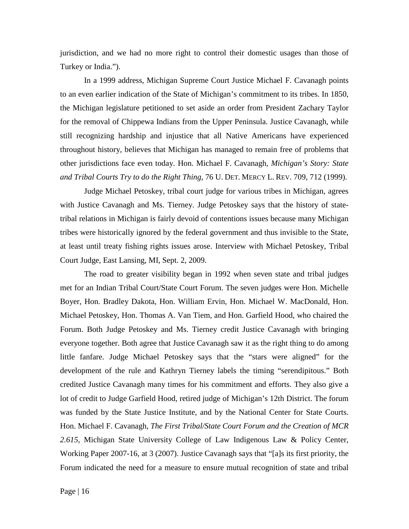jurisdiction, and we had no more right to control their domestic usages than those of Turkey or India.").

In a 1999 address, Michigan Supreme Court Justice Michael F. Cavanagh points to an even earlier indication of the State of Michigan's commitment to its tribes. In 1850, the Michigan legislature petitioned to set aside an order from President Zachary Taylor for the removal of Chippewa Indians from the Upper Peninsula. Justice Cavanagh, while still recognizing hardship and injustice that all Native Americans have experienced throughout history, believes that Michigan has managed to remain free of problems that other jurisdictions face even today. Hon. Michael F. Cavanagh, *Michigan's Story: State and Tribal Courts Try to do the Right Thing*, 76 U. DET. MERCY L. REV. 709, 712 (1999).

Judge Michael Petoskey, tribal court judge for various tribes in Michigan, agrees with Justice Cavanagh and Ms. Tierney. Judge Petoskey says that the history of statetribal relations in Michigan is fairly devoid of contentions issues because many Michigan tribes were historically ignored by the federal government and thus invisible to the State, at least until treaty fishing rights issues arose. Interview with Michael Petoskey, Tribal Court Judge, East Lansing, MI, Sept. 2, 2009.

The road to greater visibility began in 1992 when seven state and tribal judges met for an Indian Tribal Court/State Court Forum. The seven judges were Hon. Michelle Boyer, Hon. Bradley Dakota, Hon. William Ervin, Hon. Michael W. MacDonald, Hon. Michael Petoskey, Hon. Thomas A. Van Tiem, and Hon. Garfield Hood, who chaired the Forum. Both Judge Petoskey and Ms. Tierney credit Justice Cavanagh with bringing everyone together. Both agree that Justice Cavanagh saw it as the right thing to do among little fanfare. Judge Michael Petoskey says that the "stars were aligned" for the development of the rule and Kathryn Tierney labels the timing "serendipitous." Both credited Justice Cavanagh many times for his commitment and efforts. They also give a lot of credit to Judge Garfield Hood, retired judge of Michigan's 12th District. The forum was funded by the State Justice Institute, and by the National Center for State Courts. Hon. Michael F. Cavanagh, *The First Tribal/State Court Forum and the Creation of MCR 2.615*, Michigan State University College of Law Indigenous Law & Policy Center, Working Paper 2007-16, at 3 (2007). Justice Cavanagh says that "[a]s its first priority, the Forum indicated the need for a measure to ensure mutual recognition of state and tribal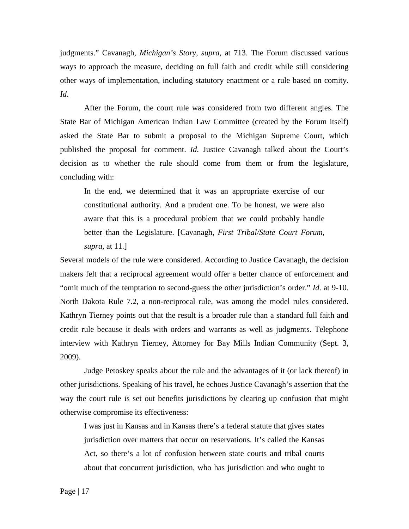judgments." Cavanagh, *Michigan's Story*, *supra*, at 713. The Forum discussed various ways to approach the measure, deciding on full faith and credit while still considering other ways of implementation, including statutory enactment or a rule based on comity. *Id*.

After the Forum, the court rule was considered from two different angles. The State Bar of Michigan American Indian Law Committee (created by the Forum itself) asked the State Bar to submit a proposal to the Michigan Supreme Court, which published the proposal for comment. *Id*. Justice Cavanagh talked about the Court's decision as to whether the rule should come from them or from the legislature, concluding with:

In the end, we determined that it was an appropriate exercise of our constitutional authority. And a prudent one. To be honest, we were also aware that this is a procedural problem that we could probably handle better than the Legislature. [Cavanagh, *First Tribal/State Court Forum*, *supra*, at 11.]

Several models of the rule were considered. According to Justice Cavanagh, the decision makers felt that a reciprocal agreement would offer a better chance of enforcement and "omit much of the temptation to second-guess the other jurisdiction's order." *Id*. at 9-10. North Dakota Rule 7.2, a non-reciprocal rule, was among the model rules considered. Kathryn Tierney points out that the result is a broader rule than a standard full faith and credit rule because it deals with orders and warrants as well as judgments. Telephone interview with Kathryn Tierney, Attorney for Bay Mills Indian Community (Sept. 3, 2009).

Judge Petoskey speaks about the rule and the advantages of it (or lack thereof) in other jurisdictions. Speaking of his travel, he echoes Justice Cavanagh's assertion that the way the court rule is set out benefits jurisdictions by clearing up confusion that might otherwise compromise its effectiveness:

I was just in Kansas and in Kansas there's a federal statute that gives states jurisdiction over matters that occur on reservations. It's called the Kansas Act, so there's a lot of confusion between state courts and tribal courts about that concurrent jurisdiction, who has jurisdiction and who ought to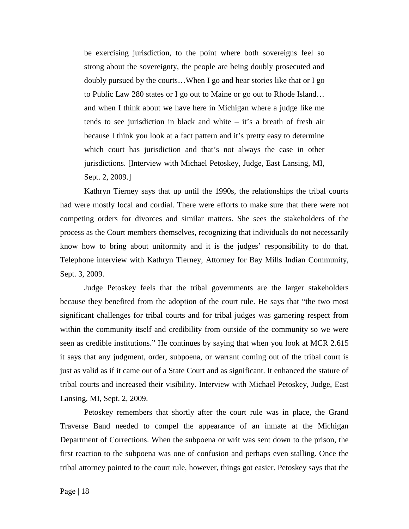be exercising jurisdiction, to the point where both sovereigns feel so strong about the sovereignty, the people are being doubly prosecuted and doubly pursued by the courts…When I go and hear stories like that or I go to Public Law 280 states or I go out to Maine or go out to Rhode Island… and when I think about we have here in Michigan where a judge like me tends to see jurisdiction in black and white – it's a breath of fresh air because I think you look at a fact pattern and it's pretty easy to determine which court has jurisdiction and that's not always the case in other jurisdictions. [Interview with Michael Petoskey, Judge, East Lansing, MI, Sept. 2, 2009.]

Kathryn Tierney says that up until the 1990s, the relationships the tribal courts had were mostly local and cordial. There were efforts to make sure that there were not competing orders for divorces and similar matters. She sees the stakeholders of the process as the Court members themselves, recognizing that individuals do not necessarily know how to bring about uniformity and it is the judges' responsibility to do that. Telephone interview with Kathryn Tierney, Attorney for Bay Mills Indian Community, Sept. 3, 2009.

Judge Petoskey feels that the tribal governments are the larger stakeholders because they benefited from the adoption of the court rule. He says that "the two most significant challenges for tribal courts and for tribal judges was garnering respect from within the community itself and credibility from outside of the community so we were seen as credible institutions." He continues by saying that when you look at MCR 2.615 it says that any judgment, order, subpoena, or warrant coming out of the tribal court is just as valid as if it came out of a State Court and as significant. It enhanced the stature of tribal courts and increased their visibility. Interview with Michael Petoskey, Judge, East Lansing, MI, Sept. 2, 2009.

Petoskey remembers that shortly after the court rule was in place, the Grand Traverse Band needed to compel the appearance of an inmate at the Michigan Department of Corrections. When the subpoena or writ was sent down to the prison, the first reaction to the subpoena was one of confusion and perhaps even stalling. Once the tribal attorney pointed to the court rule, however, things got easier. Petoskey says that the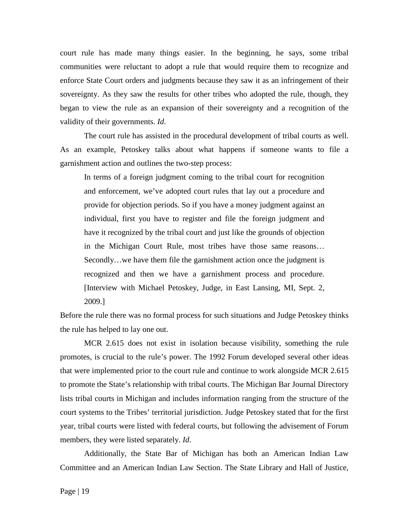court rule has made many things easier. In the beginning, he says, some tribal communities were reluctant to adopt a rule that would require them to recognize and enforce State Court orders and judgments because they saw it as an infringement of their sovereignty. As they saw the results for other tribes who adopted the rule, though, they began to view the rule as an expansion of their sovereignty and a recognition of the validity of their governments. *Id*.

The court rule has assisted in the procedural development of tribal courts as well. As an example, Petoskey talks about what happens if someone wants to file a garnishment action and outlines the two-step process:

In terms of a foreign judgment coming to the tribal court for recognition and enforcement, we've adopted court rules that lay out a procedure and provide for objection periods. So if you have a money judgment against an individual, first you have to register and file the foreign judgment and have it recognized by the tribal court and just like the grounds of objection in the Michigan Court Rule, most tribes have those same reasons… Secondly…we have them file the garnishment action once the judgment is recognized and then we have a garnishment process and procedure. [Interview with Michael Petoskey, Judge, in East Lansing, MI, Sept. 2, 2009.]

Before the rule there was no formal process for such situations and Judge Petoskey thinks the rule has helped to lay one out.

MCR 2.615 does not exist in isolation because visibility, something the rule promotes, is crucial to the rule's power. The 1992 Forum developed several other ideas that were implemented prior to the court rule and continue to work alongside MCR 2.615 to promote the State's relationship with tribal courts. The Michigan Bar Journal Directory lists tribal courts in Michigan and includes information ranging from the structure of the court systems to the Tribes' territorial jurisdiction. Judge Petoskey stated that for the first year, tribal courts were listed with federal courts, but following the advisement of Forum members, they were listed separately. *Id*.

Additionally, the State Bar of Michigan has both an American Indian Law Committee and an American Indian Law Section. The State Library and Hall of Justice,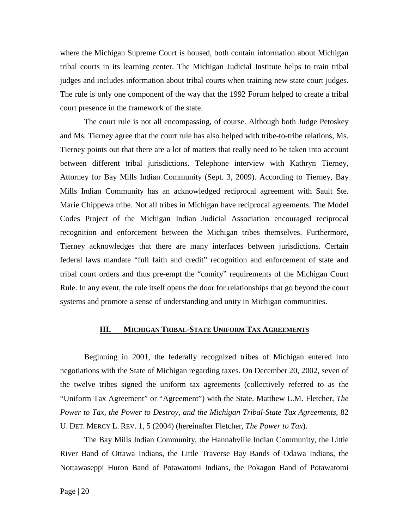where the Michigan Supreme Court is housed, both contain information about Michigan tribal courts in its learning center. The Michigan Judicial Institute helps to train tribal judges and includes information about tribal courts when training new state court judges. The rule is only one component of the way that the 1992 Forum helped to create a tribal court presence in the framework of the state.

The court rule is not all encompassing, of course. Although both Judge Petoskey and Ms. Tierney agree that the court rule has also helped with tribe-to-tribe relations, Ms. Tierney points out that there are a lot of matters that really need to be taken into account between different tribal jurisdictions. Telephone interview with Kathryn Tierney, Attorney for Bay Mills Indian Community (Sept. 3, 2009). According to Tierney, Bay Mills Indian Community has an acknowledged reciprocal agreement with Sault Ste. Marie Chippewa tribe. Not all tribes in Michigan have reciprocal agreements. The Model Codes Project of the Michigan Indian Judicial Association encouraged reciprocal recognition and enforcement between the Michigan tribes themselves. Furthermore, Tierney acknowledges that there are many interfaces between jurisdictions. Certain federal laws mandate "full faith and credit" recognition and enforcement of state and tribal court orders and thus pre-empt the "comity" requirements of the Michigan Court Rule. In any event, the rule itself opens the door for relationships that go beyond the court systems and promote a sense of understanding and unity in Michigan communities.

### **III. MICHIGAN TRIBAL-STATE UNIFORM TAX AGREEMENTS**

Beginning in 2001, the federally recognized tribes of Michigan entered into negotiations with the State of Michigan regarding taxes. On December 20, 2002, seven of the twelve tribes signed the uniform tax agreements (collectively referred to as the "Uniform Tax Agreement" or "Agreement") with the State. Matthew L.M. Fletcher, *The Power to Tax, the Power to Destroy, and the Michigan Tribal-State Tax Agreements*, 82 U. DET. MERCY L. REV. 1, 5 (2004) (hereinafter Fletcher, *The Power to Tax*).

The Bay Mills Indian Community, the Hannahville Indian Community, the Little River Band of Ottawa Indians, the Little Traverse Bay Bands of Odawa Indians, the Nottawaseppi Huron Band of Potawatomi Indians, the Pokagon Band of Potawatomi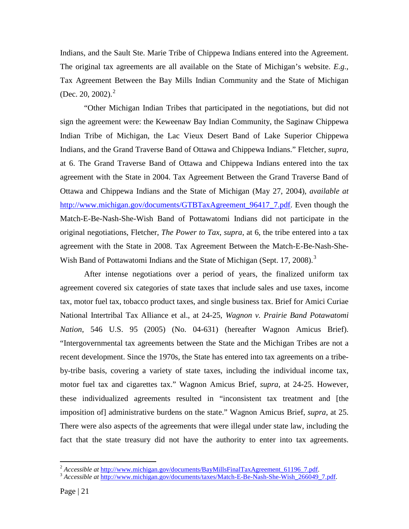Indians, and the Sault Ste. Marie Tribe of Chippewa Indians entered into the Agreement. The original tax agreements are all available on the State of Michigan's website. *E.g.*, Tax Agreement Between the Bay Mills Indian Community and the State of Michigan (Dec. [2](#page-20-0)0, 2002).<sup>2</sup>

"Other Michigan Indian Tribes that participated in the negotiations, but did not sign the agreement were: the Keweenaw Bay Indian Community, the Saginaw Chippewa Indian Tribe of Michigan, the Lac Vieux Desert Band of Lake Superior Chippewa Indians, and the Grand Traverse Band of Ottawa and Chippewa Indians." Fletcher, *supra*, at 6. The Grand Traverse Band of Ottawa and Chippewa Indians entered into the tax agreement with the State in 2004. Tax Agreement Between the Grand Traverse Band of Ottawa and Chippewa Indians and the State of Michigan (May 27, 2004), *available at* [http://www.michigan.gov/documents/GTBTaxAgreement\\_96417\\_7.pdf.](http://www.michigan.gov/documents/GTBTaxAgreement_96417_7.pdf) Even though the Match-E-Be-Nash-She-Wish Band of Pottawatomi Indians did not participate in the original negotiations, Fletcher, *The Power to Tax*, *supra*, at 6, the tribe entered into a tax agreement with the State in 2008. Tax Agreement Between the Match-E-Be-Nash-She-Wish Band of Pottawatomi Indians and the State of Michigan (Sept. 17, 2008).<sup>[3](#page-20-1)</sup>

After intense negotiations over a period of years, the finalized uniform tax agreement covered six categories of state taxes that include sales and use taxes, income tax, motor fuel tax, tobacco product taxes, and single business tax. Brief for Amici Curiae National Intertribal Tax Alliance et al., at 24-25, *Wagnon v. Prairie Band Potawatomi Nation*, 546 U.S. 95 (2005) (No. 04-631) (hereafter Wagnon Amicus Brief). "Intergovernmental tax agreements between the State and the Michigan Tribes are not a recent development. Since the 1970s, the State has entered into tax agreements on a tribeby-tribe basis, covering a variety of state taxes, including the individual income tax, motor fuel tax and cigarettes tax." Wagnon Amicus Brief, *supra*, at 24-25. However, these individualized agreements resulted in "inconsistent tax treatment and [the imposition of] administrative burdens on the state." Wagnon Amicus Brief, *supra*, at 25. There were also aspects of the agreements that were illegal under state law, including the fact that the state treasury did not have the authority to enter into tax agreements.

<span id="page-20-0"></span><sup>&</sup>lt;sup>2</sup> *Accessible at http://www.michigan.gov/documents/BayMillsFinalTaxAgreement 61196 7.pdf.* 3 *Accessible at [http://www.michigan.gov/documents/taxes/Match-E-Be-Nash-She-Wish\\_266049\\_7.pdf.](http://www.michigan.gov/documents/taxes/Match-E-Be-Nash-She-Wish_266049_7.pdf)* 

<span id="page-20-1"></span>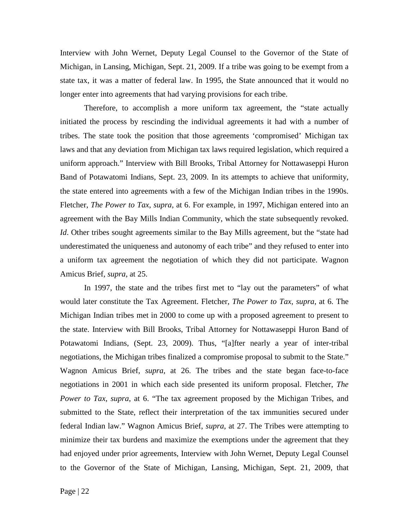Interview with John Wernet, Deputy Legal Counsel to the Governor of the State of Michigan, in Lansing, Michigan, Sept. 21, 2009. If a tribe was going to be exempt from a state tax, it was a matter of federal law. In 1995, the State announced that it would no longer enter into agreements that had varying provisions for each tribe.

Therefore, to accomplish a more uniform tax agreement, the "state actually initiated the process by rescinding the individual agreements it had with a number of tribes. The state took the position that those agreements 'compromised' Michigan tax laws and that any deviation from Michigan tax laws required legislation, which required a uniform approach." Interview with Bill Brooks, Tribal Attorney for Nottawaseppi Huron Band of Potawatomi Indians, Sept. 23, 2009. In its attempts to achieve that uniformity, the state entered into agreements with a few of the Michigan Indian tribes in the 1990s. Fletcher, *The Power to Tax*, *supra*, at 6. For example, in 1997, Michigan entered into an agreement with the Bay Mills Indian Community, which the state subsequently revoked. *Id*. Other tribes sought agreements similar to the Bay Mills agreement, but the "state had underestimated the uniqueness and autonomy of each tribe" and they refused to enter into a uniform tax agreement the negotiation of which they did not participate. Wagnon Amicus Brief, *supra*, at 25.

In 1997, the state and the tribes first met to "lay out the parameters" of what would later constitute the Tax Agreement. Fletcher, *The Power to Tax*, *supra*, at 6. The Michigan Indian tribes met in 2000 to come up with a proposed agreement to present to the state. Interview with Bill Brooks, Tribal Attorney for Nottawaseppi Huron Band of Potawatomi Indians, (Sept. 23, 2009). Thus, "[a]fter nearly a year of inter-tribal negotiations, the Michigan tribes finalized a compromise proposal to submit to the State." Wagnon Amicus Brief, *supra*, at 26. The tribes and the state began face-to-face negotiations in 2001 in which each side presented its uniform proposal. Fletcher, *The Power to Tax*, *supra*, at 6. "The tax agreement proposed by the Michigan Tribes, and submitted to the State, reflect their interpretation of the tax immunities secured under federal Indian law." Wagnon Amicus Brief, *supra*, at 27. The Tribes were attempting to minimize their tax burdens and maximize the exemptions under the agreement that they had enjoyed under prior agreements, Interview with John Wernet, Deputy Legal Counsel to the Governor of the State of Michigan, Lansing, Michigan, Sept. 21, 2009, that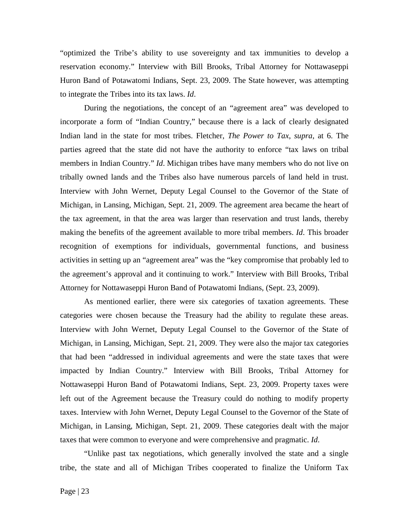"optimized the Tribe's ability to use sovereignty and tax immunities to develop a reservation economy." Interview with Bill Brooks, Tribal Attorney for Nottawaseppi Huron Band of Potawatomi Indians, Sept. 23, 2009. The State however, was attempting to integrate the Tribes into its tax laws. *Id*.

During the negotiations, the concept of an "agreement area" was developed to incorporate a form of "Indian Country," because there is a lack of clearly designated Indian land in the state for most tribes. Fletcher, *The Power to Tax*, *supra*, at 6. The parties agreed that the state did not have the authority to enforce "tax laws on tribal members in Indian Country." *Id*. Michigan tribes have many members who do not live on tribally owned lands and the Tribes also have numerous parcels of land held in trust. Interview with John Wernet, Deputy Legal Counsel to the Governor of the State of Michigan, in Lansing, Michigan, Sept. 21, 2009. The agreement area became the heart of the tax agreement, in that the area was larger than reservation and trust lands, thereby making the benefits of the agreement available to more tribal members. *Id*. This broader recognition of exemptions for individuals, governmental functions, and business activities in setting up an "agreement area" was the "key compromise that probably led to the agreement's approval and it continuing to work." Interview with Bill Brooks, Tribal Attorney for Nottawaseppi Huron Band of Potawatomi Indians, (Sept. 23, 2009).

As mentioned earlier, there were six categories of taxation agreements. These categories were chosen because the Treasury had the ability to regulate these areas. Interview with John Wernet, Deputy Legal Counsel to the Governor of the State of Michigan, in Lansing, Michigan, Sept. 21, 2009. They were also the major tax categories that had been "addressed in individual agreements and were the state taxes that were impacted by Indian Country." Interview with Bill Brooks, Tribal Attorney for Nottawaseppi Huron Band of Potawatomi Indians, Sept. 23, 2009. Property taxes were left out of the Agreement because the Treasury could do nothing to modify property taxes. Interview with John Wernet, Deputy Legal Counsel to the Governor of the State of Michigan, in Lansing, Michigan, Sept. 21, 2009. These categories dealt with the major taxes that were common to everyone and were comprehensive and pragmatic. *Id*.

"Unlike past tax negotiations, which generally involved the state and a single tribe, the state and all of Michigan Tribes cooperated to finalize the Uniform Tax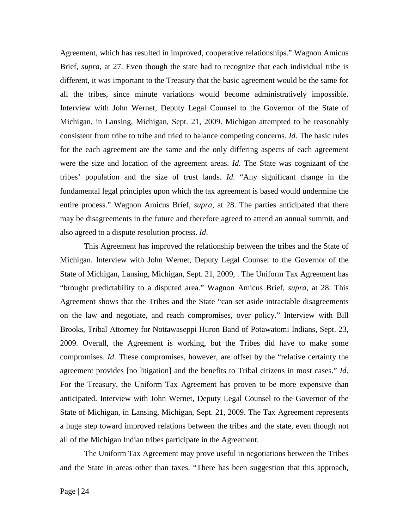Agreement, which has resulted in improved, cooperative relationships." Wagnon Amicus Brief, *supra*, at 27. Even though the state had to recognize that each individual tribe is different, it was important to the Treasury that the basic agreement would be the same for all the tribes, since minute variations would become administratively impossible. Interview with John Wernet, Deputy Legal Counsel to the Governor of the State of Michigan, in Lansing, Michigan, Sept. 21, 2009. Michigan attempted to be reasonably consistent from tribe to tribe and tried to balance competing concerns. *Id*. The basic rules for the each agreement are the same and the only differing aspects of each agreement were the size and location of the agreement areas. *Id*. The State was cognizant of the tribes' population and the size of trust lands. *Id*. "Any significant change in the fundamental legal principles upon which the tax agreement is based would undermine the entire process." Wagnon Amicus Brief, *supra*, at 28. The parties anticipated that there may be disagreements in the future and therefore agreed to attend an annual summit, and also agreed to a dispute resolution process. *Id*.

This Agreement has improved the relationship between the tribes and the State of Michigan. Interview with John Wernet, Deputy Legal Counsel to the Governor of the State of Michigan, Lansing, Michigan, Sept. 21, 2009, . The Uniform Tax Agreement has "brought predictability to a disputed area." Wagnon Amicus Brief, *supra*, at 28. This Agreement shows that the Tribes and the State "can set aside intractable disagreements on the law and negotiate, and reach compromises, over policy." Interview with Bill Brooks, Tribal Attorney for Nottawaseppi Huron Band of Potawatomi Indians, Sept. 23, 2009. Overall, the Agreement is working, but the Tribes did have to make some compromises. *Id*. These compromises, however, are offset by the "relative certainty the agreement provides [no litigation] and the benefits to Tribal citizens in most cases." *Id*. For the Treasury, the Uniform Tax Agreement has proven to be more expensive than anticipated. Interview with John Wernet, Deputy Legal Counsel to the Governor of the State of Michigan, in Lansing, Michigan, Sept. 21, 2009. The Tax Agreement represents a huge step toward improved relations between the tribes and the state, even though not all of the Michigan Indian tribes participate in the Agreement.

The Uniform Tax Agreement may prove useful in negotiations between the Tribes and the State in areas other than taxes. "There has been suggestion that this approach,